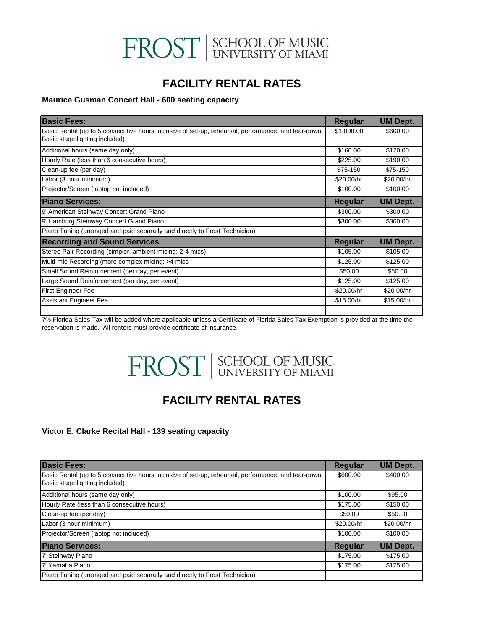# FROST SCHOOL OF MUSIC

### **FACILITY RENTAL RATES**

#### **Maurice Gusman Concert Hall - 600 seating capacity**

| <b>Basic Fees:</b>                                                                                  | Regular    | <b>UM Dept.</b> |
|-----------------------------------------------------------------------------------------------------|------------|-----------------|
| Basic Rental (up to 5 consecutive hours inclusive of set-up, rehearsal, performance, and tear-down. | \$1,000.00 | \$600.00        |
| Basic stage lighting included)                                                                      |            |                 |
| Additional hours (same day only)                                                                    | \$160.00   | \$120.00        |
| Hourly Rate (less than 6 consecutive hours)                                                         | \$225.00   | \$190.00        |
| Clean-up fee (per day)                                                                              | \$75-150   | \$75-150        |
| Labor (3 hour minimum)                                                                              | \$20.00/hr | \$20.00/hr      |
| Projector/Screen (laptop not included)                                                              | \$100.00   | \$100.00        |
| <b>Piano Services:</b>                                                                              | Regular    | <b>UM Dept.</b> |
| 9' American Steinway Concert Grand Piano                                                            | \$300.00   | \$300.00        |
| 9' Hamburg Steinway Concert Grand Piano                                                             | \$300.00   | \$300.00        |
| Piano Tuning (arranged and paid separatly and directly to Frost Technician)                         |            |                 |
| <b>Recording and Sound Services</b>                                                                 | Regular    | <b>UM Dept.</b> |
| Stereo Pair Recording (simpler, ambient micing: 2-4 mics)                                           | \$105.00   | \$105.00        |
| Multi-mic Recording (more complex micing: >4 mics                                                   | \$125.00   | \$125.00        |
| Small Sound Reinforcement (per day, per event)                                                      | \$50.00    | \$50.00         |
| Large Sound Reinforcement (per day, per event)                                                      | \$125.00   | \$125.00        |
| <b>First Engineer Fee</b>                                                                           | \$20.00/hr | \$20.00/hr      |
| <b>Assistant Engineer Fee</b>                                                                       | \$15.00/hr | \$15.00/hr      |
|                                                                                                     |            |                 |

7% Florida Sales Tax will be added where applicable unless a Certificate of Florida Sales Tax Exemption is provided at the time the reservation is made. All renters must provide certificate of insurance.

# FROST SCHOOL OF MUSIC

### **FACILITY RENTAL RATES**

#### **Victor E. Clarke Recital Hall - 139 seating capacity**

| <b>Basic Fees:</b>                                                                                  | <b>Regular</b> | <b>UM Dept.</b> |
|-----------------------------------------------------------------------------------------------------|----------------|-----------------|
| Basic Rental (up to 5 consecutive hours inclusive of set-up, rehearsal, performance, and tear-down. | \$600.00       | \$400.00        |
| Basic stage lighting included)                                                                      |                |                 |
| Additional hours (same day only)                                                                    | \$100.00       | \$95.00         |
| Hourly Rate (less than 6 consecutive hours)                                                         | \$175.00       | \$150.00        |
| Clean-up fee (per day)                                                                              | \$50.00        | \$50.00         |
| Labor (3 hour minimum)                                                                              | \$20.00/hr     | \$20.00/hr      |
| Projector/Screen (laptop not included)                                                              | \$100.00       | \$100.00        |
| <b>Piano Services:</b>                                                                              | Regular        | <b>UM Dept.</b> |
| 7' Steinway Piano                                                                                   | \$175.00       | \$175.00        |
| 7' Yamaha Piano                                                                                     | \$175.00       | \$175.00        |
| Piano Tuning (arranged and paid separatly and directly to Frost Technician)                         |                |                 |